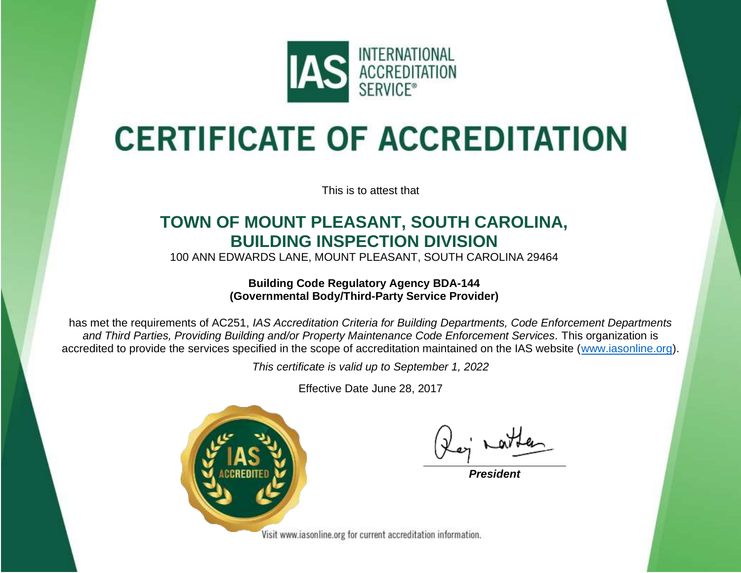

## **CERTIFICATE OF ACCREDITATION**

This is to attest that

## **TOWN OF MOUNT PLEASANT, SOUTH CAROLINA, BUILDING INSPECTION DIVISION**

100 ANN EDWARDS LANE, MOUNT PLEASANT, SOUTH CAROLINA 29464

**Building Code Regulatory Agency BDA-144 (Governmental Body/Third-Party Service Provider)**

has met the requirements of AC251, *IAS Accreditation Criteria for Building Departments, Code Enforcement Departments and Third Parties, Providing Building and/or Property Maintenance Code Enforcement Services.* This organization is accredited to provide the services specified in the scope of accreditation maintained on the IAS website [\(www.iasonline.org\)](http://www.iasonline.org/).

*This certificate is valid up to September 1, 2022*

Effective Date June 28, 2017



*President*

Visit www.iasonline.org for current accreditation information.